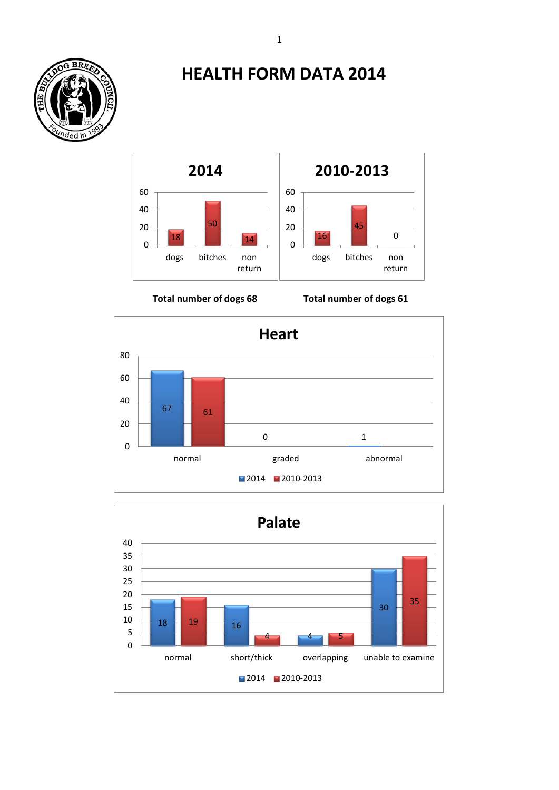

## **HEALTH FORM DATA 2014**



 **Total number of dogs 68 Total number of dogs 61**





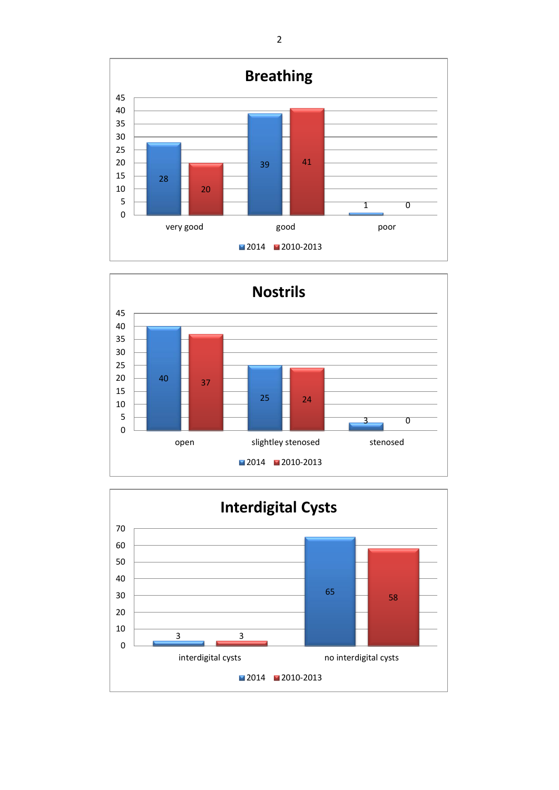



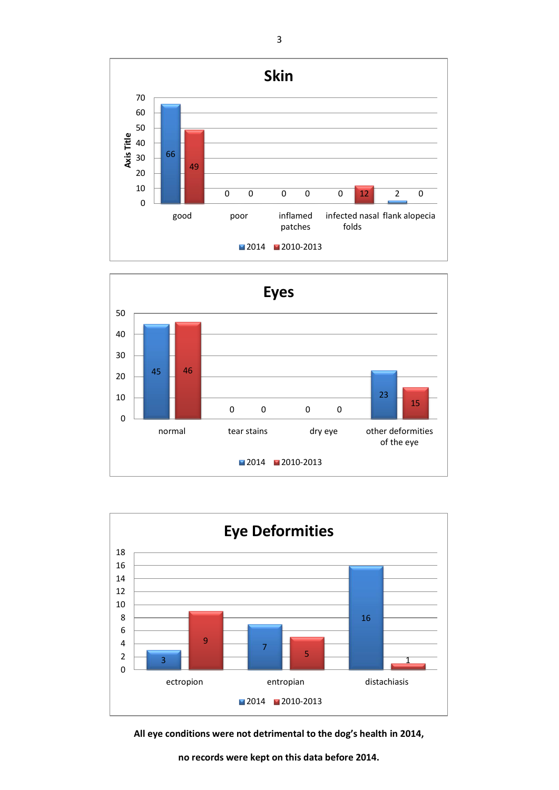





**All eye conditions were not detrimental to the dog's health in 2014,** 

**no records were kept on this data before 2014.**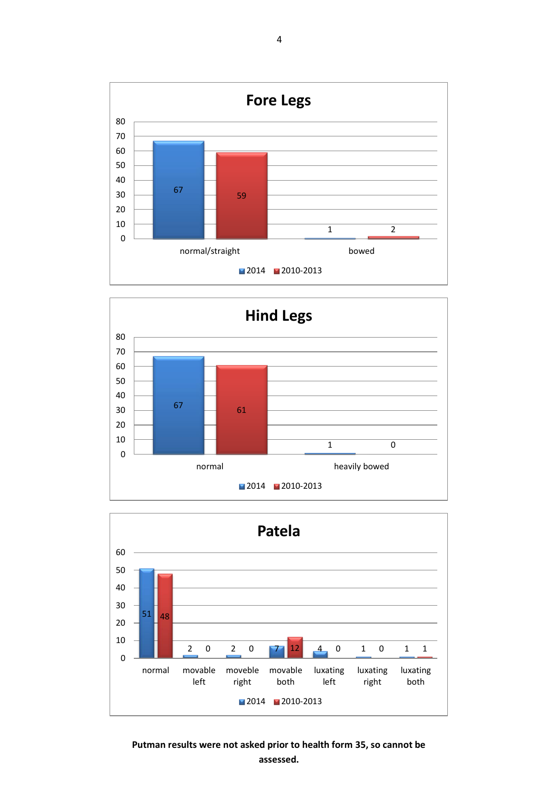





**Putman results were not asked prior to health form 35, so cannot be assessed.**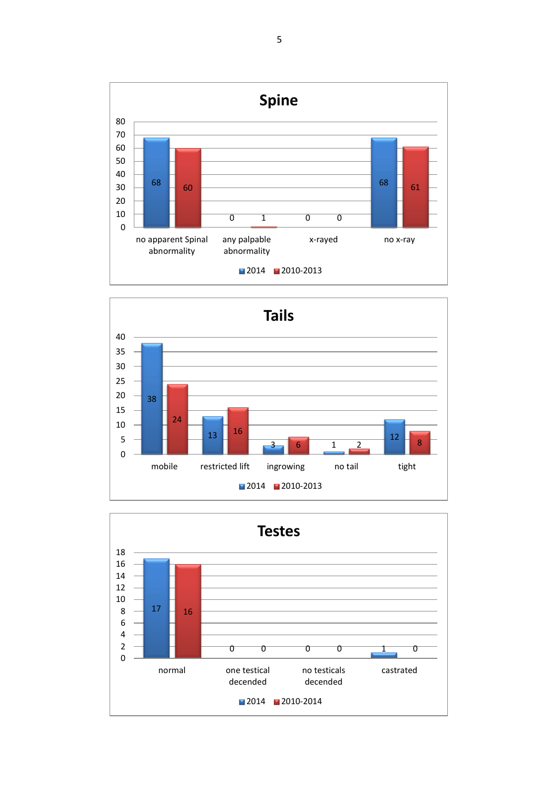